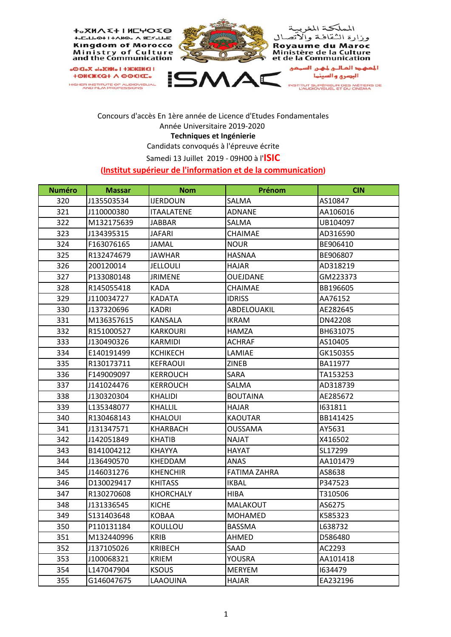

## Concours d'accès En 1ère année de Licence d'Etudes Fondamentales Année Universitaire 2019‐2020 **Techniques et Ingénierie** Candidats convoqués à l'épreuve écrite

Samedi 13 Juillet 2019 ‐ 09H00 à l'**ISIC**

## **(Institut supérieur de l'information et de la communication)**

| <b>Numéro</b> | <b>Massar</b> | <b>Nom</b>        | Prénom              | <b>CIN</b> |
|---------------|---------------|-------------------|---------------------|------------|
| 320           | J135503534    | <b>IJERDOUN</b>   | SALMA               | AS10847    |
| 321           | J110000380    | <b>ITAALATENE</b> | <b>ADNANE</b>       | AA106016   |
| 322           | M132175639    | <b>JABBAR</b>     | SALMA               | UB104097   |
| 323           | J134395315    | JAFARI            | CHAIMAE             | AD316590   |
| 324           | F163076165    | JAMAL             | <b>NOUR</b>         | BE906410   |
| 325           | R132474679    | <b>JAWHAR</b>     | <b>HASNAA</b>       | BE906807   |
| 326           | 200120014     | <b>JELLOULI</b>   | <b>HAJAR</b>        | AD318219   |
| 327           | P133080148    | <b>JRIMENE</b>    | OUEJDANE            | GM223373   |
| 328           | R145055418    | KADA              | CHAIMAE             | BB196605   |
| 329           | J110034727    | <b>KADATA</b>     | <b>IDRISS</b>       | AA76152    |
| 330           | J137320696    | KADRI             | ABDELOUAKIL         | AE282645   |
| 331           | M136357615    | KANSALA           | <b>IKRAM</b>        | DN42208    |
| 332           | R151000527    | <b>KARKOURI</b>   | <b>HAMZA</b>        | BH631075   |
| 333           | J130490326    | <b>KARMIDI</b>    | <b>ACHRAF</b>       | AS10405    |
| 334           | E140191499    | <b>KCHIKECH</b>   | LAMIAE              | GK150355   |
| 335           | R130173711    | <b>KEFRAOUI</b>   | <b>ZINEB</b>        | BA11977    |
| 336           | F149009097    | <b>KERROUCH</b>   | SARA                | TA153253   |
| 337           | J141024476    | <b>KERROUCH</b>   | SALMA               | AD318739   |
| 338           | J130320304    | <b>KHALIDI</b>    | <b>BOUTAINA</b>     | AE285672   |
| 339           | L135348077    | KHALLIL           | HAJAR               | 1631811    |
| 340           | R130468143    | <b>KHALOUI</b>    | <b>KAOUTAR</b>      | BB141425   |
| 341           | J131347571    | <b>KHARBACH</b>   | <b>OUSSAMA</b>      | AY5631     |
| 342           | J142051849    | <b>KHATIB</b>     | <b>NAJAT</b>        | X416502    |
| 343           | B141004212    | <b>KHAYYA</b>     | <b>HAYAT</b>        | SL17299    |
| 344           | J136490570    | KHEDDAM           | ANAS                | AA101479   |
| 345           | J146031276    | <b>KHENCHIR</b>   | <b>FATIMA ZAHRA</b> | AS8638     |
| 346           | D130029417    | <b>KHITASS</b>    | <b>IKBAL</b>        | P347523    |
| 347           | R130270608    | <b>KHORCHALY</b>  | <b>HIBA</b>         | T310506    |
| 348           | J131336545    | <b>KICHE</b>      | <b>MALAKOUT</b>     | AS6275     |
| 349           | S131403648    | <b>KOBAA</b>      | <b>MOHAMED</b>      | K585323    |
| 350           | P110131184    | <b>KOULLOU</b>    | <b>BASSMA</b>       | L638732    |
| 351           | M132440996    | KRIB              | AHMED               | D586480    |
| 352           | J137105026    | <b>KRIBECH</b>    | SAAD                | AC2293     |
| 353           | J100068321    | <b>KRIEM</b>      | YOUSRA              | AA101418   |
| 354           | L147047904    | <b>KSOUS</b>      | <b>MERYEM</b>       | 1634479    |
| 355           | G146047675    | LAAOUINA          | <b>HAJAR</b>        | EA232196   |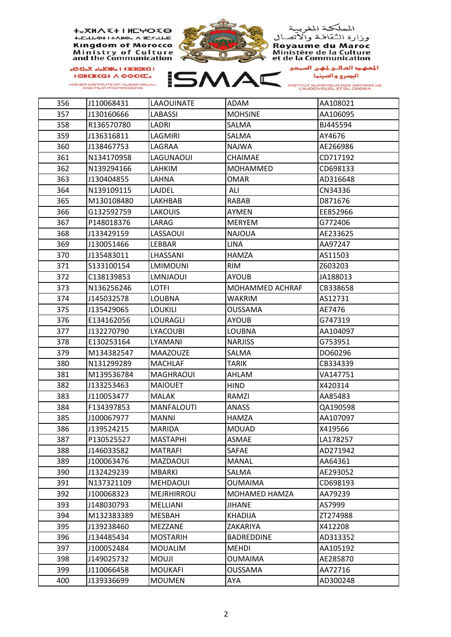**+。XMA {+ I MEHO {0** +<sub>°</sub>C°H°H+VN⊙°V 8C≥°H°E **Kingdom of Morocco** Ministry of Culture<br>and the Communication

**I IENSKK+ I oNNMolo XoleDo** *<u>+ΘΗΣ</u>* ΚΩ + Λ ΘΘΣΙΣΕ. HIGHER INSTITUTE OF AUDIOVISUAL<br>AND FILM PROFESSIONS







المعهد المالـي لمهـن السمعي<br>البصري والسينما

INSTITUT SUPÉRIEUR DES MÉTIERS DE<br>L'AUDIOVISUEL ET DU CINÉMA

| 356 | J110068431 | <b>LAAOUINATE</b> | <b>ADAM</b>          | AA108021 |
|-----|------------|-------------------|----------------------|----------|
| 357 | J130160666 | <b>LABASSI</b>    | <b>MOHSINE</b>       | AA106095 |
| 358 | R136570780 | LADRI             | SALMA                | BJ445594 |
| 359 | J136316811 | LAGMIRI           | SALMA                | AY4676   |
| 360 | J138467753 | LAGRAA            | <b>NAJWA</b>         | AE266986 |
| 361 | N134170958 | LAGUNAOUI         | CHAIMAE              | CD717192 |
| 362 | N139294166 | LAHKIM            | <b>MOHAMMED</b>      | CD698133 |
| 363 | J130404855 | LAHNA             | <b>OMAR</b>          | AD316648 |
| 364 | N139109115 | LAJDEL            | ALI                  | CN34336  |
| 365 | M130108480 | LAKHBAB           | <b>RABAB</b>         | D871676  |
| 366 | G132592759 | <b>LAKOUIS</b>    | AYMEN                | EE852966 |
| 367 | P148018376 | LARAG             | <b>MERYEM</b>        | G772406  |
| 368 | J133429159 | LASSAOUI          | <b>NAJOUA</b>        | AE233625 |
| 369 | J130051466 | LEBBAR            | <b>LINA</b>          | AA97247  |
| 370 | J135483011 | LHASSANI          | HAMZA                | AS11503  |
| 371 | S133100154 | <b>LMIMOUNI</b>   | <b>RIM</b>           | Z603203  |
| 372 | C138139853 | <b>LMNJAOUI</b>   | <b>AYOUB</b>         | JA188013 |
| 373 | N136256246 | <b>LOTFI</b>      | MOHAMMED ACHRAF      | CB338658 |
| 374 | J145032578 | <b>LOUBNA</b>     | <b>WAKRIM</b>        | AS12731  |
| 375 | J135429065 | <b>LOUKILI</b>    | <b>OUSSAMA</b>       | AE7476   |
| 376 | E134162056 | LOURAGLI          | <b>AYOUB</b>         | G747319  |
| 377 | J132270790 | <b>LYACOUBI</b>   | <b>LOUBNA</b>        | AA104097 |
| 378 | E130253164 | LYAMANI           | <b>NARJISS</b>       | G753951  |
| 379 | M134382547 | <b>MAAZOUZE</b>   | SALMA                | DO60296  |
| 380 | N131299289 | <b>MACHLAF</b>    | TARIK                | CB334339 |
| 381 | M139536784 | <b>MAGHRAOUI</b>  | AHLAM                | VA147751 |
| 382 | J133253463 | <b>MAIOUET</b>    | <b>HIND</b>          | X420314  |
| 383 | J110053477 | <b>MALAK</b>      | RAMZI                | AA85483  |
| 384 | F134397853 | <b>MANFALOUTI</b> | <b>ANASS</b>         | QA190598 |
| 385 | J100067977 | <b>MANNI</b>      | <b>HAMZA</b>         | AA107097 |
| 386 | J139524215 | <b>MARIDA</b>     | <b>MOUAD</b>         | X419566  |
| 387 | P130525527 | <b>MASTAPHI</b>   | ASMAE                | LA178257 |
| 388 | J146033582 | <b>MATRAFI</b>    | SAFAE                | AD271942 |
| 389 | J100063476 | MAZDAOUI          | <b>MANAL</b>         | AA64361  |
| 390 | J132429239 | MBARKI            | SALMA                | AE293052 |
| 391 | N137321109 | MEHDAOUI          | <b>OUMAIMA</b>       | CD698193 |
| 392 | J100068323 | MEJRHIRROU        | <b>MOHAMED HAMZA</b> | AA79239  |
| 393 | J148030793 | MELLIANI          | JIHANE               | AS7999   |
| 394 | M132383389 | <b>MESBAH</b>     | <b>KHADIJA</b>       | ZT274988 |
| 395 | J139238460 | MEZZANE           | ZAKARIYA             | X412208  |
| 396 | J134485434 | <b>MOSTARIH</b>   | <b>BADREDDINE</b>    | AD313352 |
| 397 | J100052484 | <b>MOUALIM</b>    | <b>MEHDI</b>         | AA105192 |
| 398 | J149025732 | <b>MOUJI</b>      | OUMAIMA              | AE285870 |
| 399 | J110066458 | <b>MOUKAFI</b>    | <b>OUSSAMA</b>       | AA72716  |
| 400 | J139336699 | <b>MOUMEN</b>     | AYA                  | AD300248 |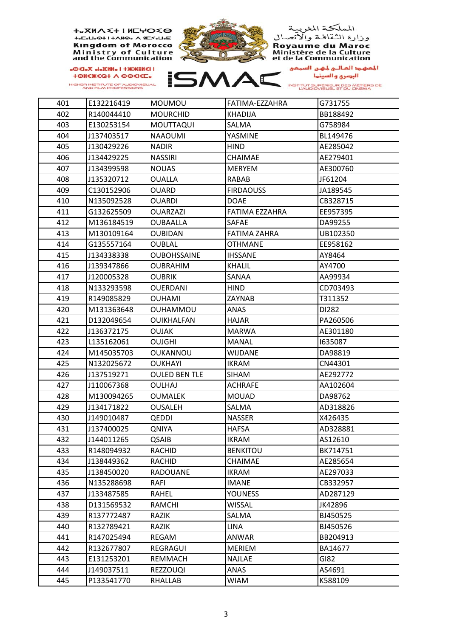$+A$ <sub>2</sub> $A \wedge \zeta + H$ <sub>1</sub> $H$ <sub>2</sub> $\zeta \rightarrow$ **+**<sub>p</sub>C<sub>p</sub>U<sub>p</sub><sup>O+1+AHO<sub>p</sub>A<sub>8</sub>C*y*<sub>pUp</sub>E</sup> **Kingdom of Morocco Ministry of Culture**<br>and the Communication

**I ISNSXX+1** oNNHolo Xol3Oo *<u>+ONEWEQ+ A OOEIEE.</u>* HIGHER INSTITUTE OF AUDIOVISUAL<br>AND FILM PROFESSIONS





ISMAC

المعهد العالي لمهن السر صي البرعري والسينما INSTITUT SUPÉRIEUR DES MÉTIERS DE<br>L'AUDIOVISUEL ET DU CINÉMA

401 E132216419 MOUMOU FATIMA‐EZZAHRA G731755 402 R140044410 MOURCHID KHADIJA BB188492 403 E130253154 MOUTTAQUI SALMA G758984 404 J137403517 NAAOUMI YASMINE BL149476 405 | J130429226 | NADIR | HIND | AE285042 406 J134429225 NASSIRI CHAIMAE AE279401 407 | J134399598 | NOUAS | MERYEM | AE300760 408 J135320712 OUALLA RABAB JF61204 409 C130152906 OUARD FIRDAOUSS JA189545 410 N135092528 OUARDI DOAE CB328715 411 G132625509 OUARZAZI FATIMA EZZAHRA EE957395 412 M136184519 OUBAALLA SAFAE DA99255 413 M130109164 OUBIDAN FATIMA ZAHRA UB102350 414 G135557164 OUBLAL OTHMANE EE958162 415 J134338338 OUBOHSSAINE IHSSANE AY8464 416 J139347866 OUBRAHIM KHALIL AY4700 417 J120005328 OUBRIK SANAA AA99934 418 N133293598 OUERDANI HIND CD703493 419 R149085829 OUHAMI ZAYNAB T311352 420 M131363648 OUHAMMOU ANAS DI282 421 D132049654 OUIKHALFAN HAJAR PA260506 422 J136372175 OUJAK MARWA AE301180 423 L135162061 OUJGHI MANAL I635087 424 M145035703 OUKANNOU WIJDANE DA98819 425 N132025672 OUKHAYI IKRAM CN44301 426 |J137519271 |OULED BEN TLE |SIHAM | AE292772 427 J110067368 OULHAJ ACHRAFE AA102604 428 M130094265 OUMALEK MOUAD DA98762 429 J134171822 OUSALEH SALMA AD318826 430 J149010487 QEDDI NASSER X426435 431 J137400025 QNIYA HAFSA AD328881 432 JJ144011265 QSAIB IKRAM AS12610 433 R148094932 RACHID BENKITOU BK714751 434 |J138449362 |RACHID |CHAIMAE |AE285654 435 J138450020 RADOUANE IKRAM AE297033 436 N135288698 RAFI IMANE CB332957 437 J133487585 RAHEL YOUNESS AD287129 438 D131569532 RAMCHI WISSAL JK42896 439 R137772487 RAZIK SALMA BJ450525 440 R132789421 RAZIK LINA BJ450526 441 R147025494 REGAM ANWAR BB204913 442 R132677807 REGRAGUI MERIEM BA14677 443 E131253201 REMMACH NAJLAE GI82 444 J149037511 REZZOUQI ANAS AS4691 445 P133541770 RHALLAB WIAM K588109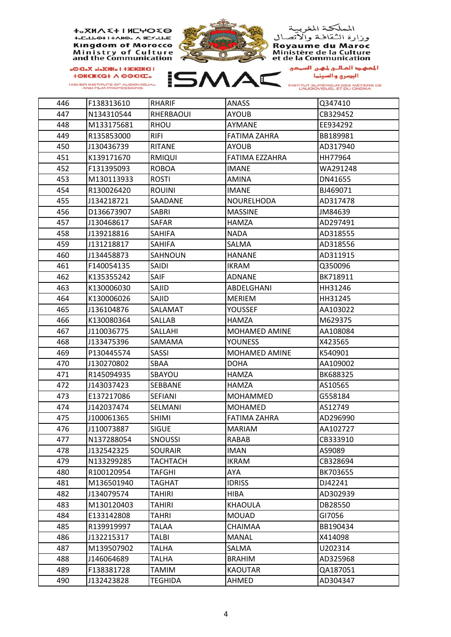**+**<sub>2</sub>XMA <+ I MCHO <0 +<sub>°</sub>C°H°H+VN⊙°V 8C≥°H°E **Kingdom of Morocco** Ministry of Culture<br>and the Communication

**I ISNSWAH I ONNHOLO XOLDO** *<u>+ΘΗΣ</u>* ΚΩ + Λ ΘΘΣΙΣΕ. HIGHER INSTITUTE OF AUDIOVISUAL<br>AND FILM PROFESSIONS



المملكة المغربية<br>وزارة الثقافة والاتصال **Royaume du Maroc<br>Ministère de la Culture<br>et de la Communication** 



المعهد المالـي لمهـن السـمـي<br>البصري والسينــا

INSTITUT SUPÉRIEUR DES MÉTIERS DE<br>L'AUDIOVISUEL ET DU CINÉMA

| 446 | F138313610 | RHARIF         | ANASS               | Q347410  |
|-----|------------|----------------|---------------------|----------|
| 447 | N134310544 | RHERBAOUI      | <b>AYOUB</b>        | CB329452 |
| 448 | M133175681 | <b>RHOU</b>    | AYMANE              | EE934292 |
| 449 | R135853000 | <b>RIFI</b>    | FATIMA ZAHRA        | BB189981 |
| 450 | J130436739 | RITANE         | <b>AYOUB</b>        | AD317940 |
| 451 | K139171670 | <b>RMIQUI</b>  | FATIMA EZZAHRA      | HH77964  |
| 452 | F131395093 | <b>ROBOA</b>   | <b>IMANE</b>        | WA291248 |
| 453 | M130113933 | <b>ROSTI</b>   | <b>AMINA</b>        | DN41655  |
| 454 | R130026420 | <b>ROUINI</b>  | IMANE               | BJ469071 |
| 455 | J134218721 | <b>SAADANE</b> | <b>NOURELHODA</b>   | AD317478 |
| 456 | D136673907 | <b>SABRI</b>   | <b>MASSINE</b>      | JM84639  |
| 457 | J130468617 | SAFAR          | HAMZA               | AD297491 |
| 458 | J139218816 | SAHIFA         | <b>NADA</b>         | AD318555 |
| 459 | J131218817 | SAHIFA         | SALMA               | AD318556 |
| 460 | J134458873 | SAHNOUN        | <b>HANANE</b>       | AD311915 |
| 461 | F140054135 | SAIDI          | IKRAM               | Q350096  |
| 462 | K135355242 | SAIF           | <b>ADNANE</b>       | BK718911 |
| 463 | K130006030 | SAJID          | ABDELGHANI          | HH31246  |
| 464 | K130006026 | SAJID          | <b>MERIEM</b>       | HH31245  |
| 465 | J136104876 | SALAMAT        | <b>YOUSSEF</b>      | AA103022 |
| 466 | K130080364 | <b>SALLAB</b>  | <b>HAMZA</b>        | M629375  |
| 467 | J110036775 | SALLAHI        | MOHAMED AMINE       | AA108084 |
| 468 | J133475396 | SAMAMA         | <b>YOUNESS</b>      | X423565  |
| 469 | P130445574 | <b>SASSI</b>   | MOHAMED AMINE       | K540901  |
| 470 | J130270802 | SBAA           | <b>DOHA</b>         | AA109002 |
| 471 | R145094935 | SBAYOU         | HAMZA               | BK688325 |
| 472 | J143037423 | SEBBANE        | HAMZA               | AS10565  |
| 473 | E137217086 | SEFIANI        | MOHAMMED            | G558184  |
| 474 | J142037474 | SELMANI        | <b>MOHAMED</b>      | AS12749  |
| 475 | J100061365 | <b>SHIMI</b>   | <b>FATIMA ZAHRA</b> | AD296990 |
| 476 | J110073887 | <b>SIGUE</b>   | <b>MARIAM</b>       | AA102727 |
| 477 | N137288054 | <b>SNOUSSI</b> | RABAB               | CB333910 |
| 478 | J132542325 | <b>SOURAIR</b> | <b>IMAN</b>         | AS9089   |
| 479 | N133299285 | TACHTACH       | IKRAM               | CB328694 |
| 480 | R100120954 | <b>TAFGHI</b>  | AYA                 | BK703655 |
| 481 | M136501940 | <b>TAGHAT</b>  | <b>IDRISS</b>       | DJ42241  |
| 482 | J134079574 | <b>TAHIRI</b>  | HIBA                | AD302939 |
| 483 | M130120403 | <b>TAHIRI</b>  | <b>KHAOULA</b>      | DB28550  |
| 484 | E133142808 | TAHRI          | <b>MOUAD</b>        | GI7056   |
| 485 | R139919997 | TALAA          | CHAIMAA             | BB190434 |
| 486 | J132215317 | TALBI          | <b>MANAL</b>        | X414098  |
| 487 | M139507902 | TALHA          | SALMA               | U202314  |
| 488 | J146064689 | TALHA          | <b>BRAHIM</b>       | AD325968 |
| 489 | F138381728 | TAMIM          | <b>KAOUTAR</b>      | QA187051 |
| 490 | J132423828 | <b>TEGHIDA</b> | AHMED               | AD304347 |